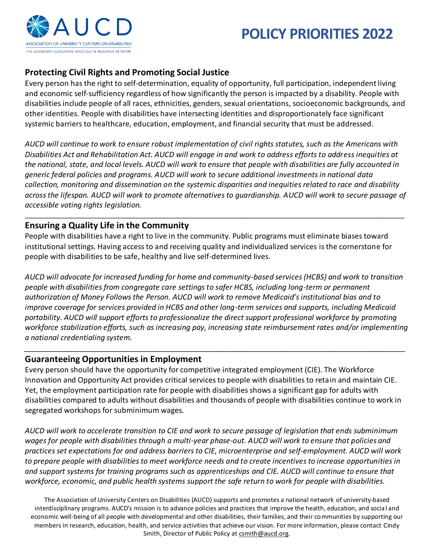

# **POLICY PRIORITIES 2022**

## **Protecting Civil Rights and Promoting Social Justice**

Every person has the right to self-determination, equality of opportunity, full participation, independent living and economic self-sufficiency regardless of how significantly the person is impacted by a disability. People with disabilities include people of all races, ethnicities, genders, sexual orientations, socioeconomic backgrounds, and other identities. People with disabilities have intersecting identities and disproportionately face significant systemic barriers to healthcare, education, employment, and financial security that must be addressed.

*AUCD will continue to work to ensure robust implementation of civil rights statutes, such as the Americans with Disabilities Act and Rehabilitation Act. AUCD will engage in and work to address efforts to address inequities at the national, state, and local levels. AUCD will work to ensure that people with disabilities are fully accounted in generic federal policies and programs. AUCD will work to secure additional investments in national data collection, monitoring and dissemination on the systemic disparities and inequities related to race and disability across the lifespan. AUCD will work to promote alternatives to guardianship. AUCD will work to secure passage of accessible voting rights legislation.*

\_\_\_\_\_\_\_\_\_\_\_\_\_\_\_\_\_\_\_\_\_\_\_\_\_\_\_\_\_\_\_\_\_\_\_\_\_\_\_\_\_\_\_\_\_\_\_\_\_\_\_\_\_\_\_\_\_\_\_\_\_\_\_\_\_\_\_\_\_\_\_\_\_\_\_\_\_\_\_\_\_\_\_\_\_\_\_\_\_\_\_\_\_\_\_\_\_\_\_\_

#### **Ensuring a Quality Life in the Community**

People with disabilities have a right to live in the community. Public programs must eliminate biases toward institutional settings. Having access to and receiving quality and individualized services is the cornerstone for people with disabilities to be safe, healthy and live self-determined lives.

*AUCD will advocate for increased funding for home and community-based services (HCBS) and work to transition people with disabilities from congregate care settings to safer HCBS, including long-term or permanent authorization of Money Follows the Person. AUCD will work to remove Medicaid's institutional bias and to improve coverage for services provided in HCBS and other long-term services and supports, including Medicaid portability. AUCD will support efforts to professionalize the direct support professional workforce by promoting workforce stabilization efforts, such as increasing pay, increasing state reimbursement rates and/or implementing a national credentialing system.*

*\_\_\_\_\_\_\_\_\_\_\_\_\_\_\_\_\_\_\_\_\_\_\_\_\_\_\_\_\_\_\_\_\_\_\_\_\_\_\_\_\_\_\_\_\_\_\_\_\_\_\_\_\_\_\_\_\_\_\_\_\_\_\_\_\_\_\_\_\_\_\_\_\_\_\_\_\_\_\_\_\_\_\_\_\_\_\_\_\_\_\_\_*

#### **Guaranteeing Opportunities in Employment**

Every person should have the opportunity for competitive integrated employment (CIE). The Workforce Innovation and Opportunity Act provides critical services to people with disabilities to retain and maintain CIE. Yet, the employment participation rate for people with disabilities shows a significant gap for adults with disabilities compared to adults without disabilities and thousands of people with disabilities continue to work in segregated workshops for subminimum wages.

*AUCD will work to accelerate transition to CIE and work to secure passage of legislation that ends subminimum*  wages for people with disabilities through a multi-year phase-out. AUCD will work to ensure that policies and *practices set expectations for and address barriers to CIE, microenterprise and self-employment. AUCD will work to prepare people with disabilities to meet workforce needs and to create incentives to increase opportunities in*  and support systems for training programs such as apprenticeships and CIE. AUCD will continue to ensure that *workforce, economic, and public health systems support the safe return to work for people with disabilities.*

The Association of University Centers on Disabilities (AUCD) supports and promotes a national network of university-based interdisciplinary programs. AUCD's mission is to advance policies and practices that improve the health, education, and socia l and economic well-being of all people with developmental and other disabilities, their families, and their communities by supporting our members in research, education, health, and service activities that achieve our vision. For more information, please contact Cindy Smith, Director of Public Policy at [csmith@aucd.org.](mailto:csmith@aucd.org)